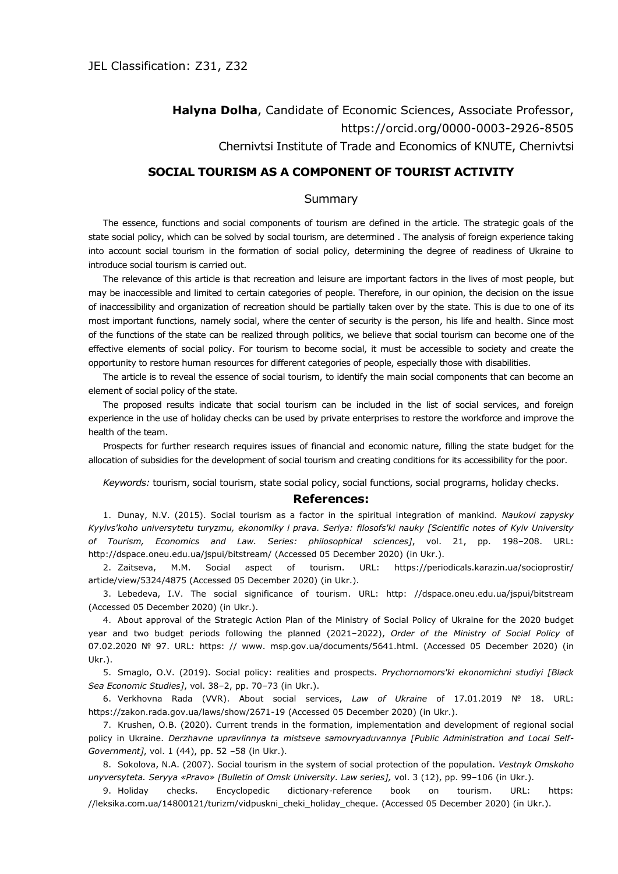## **Halyna Dolha**, Candidate of Economic Sciences, Associate Professor, <https://orcid.org/0000-0003-2926-8505> Chernivtsi Institute of Trade and Economics of KNUTE, Chernivtsi

## **SOCIAL TOURISM AS A COMPONENT OF TOURIST ACTIVITY**

## **Summary**

The essence, functions and social components of tourism are defined in the article. The strategic goals of the state social policy, which can be solved by social tourism, are determined . The analysis of foreign experience taking into account social tourism in the formation of social policy, determining the degree of readiness of Ukraine to introduce social tourism is carried out.

The relevance of this article is that recreation and leisure are important factors in the lives of most people, but may be inaccessible and limited to certain categories of people. Therefore, in our opinion, the decision on the issue of inaccessibility and organization of recreation should be partially taken over by the state. This is due to one of its most important functions, namely social, where the center of security is the person, his life and health. Since most of the functions of the state can be realized through politics, we believe that social tourism can become one of the effective elements of social policy. For tourism to become social, it must be accessible to society and create the opportunity to restore human resources for different categories of people, especially those with disabilities.

The article is to reveal the essence of social tourism, to identify the main social components that can become an element of social policy of the state.

The proposed results indicate that social tourism can be included in the list of social services, and foreign experience in the use of holiday checks can be used by private enterprises to restore the workforce and improve the health of the team.

Prospects for further research requires issues of financial and economic nature, filling the state budget for the allocation of subsidies for the development of social tourism and creating conditions for its accessibility for the poor.

*Keywords:* tourism, social tourism, state social policy, social functions, social programs, holiday checks.

## **References:**

1. Dunay, N.V. (2015). Social tourism as a factor in the spiritual integration of mankind. *Naukovi zapysky Kyyivs'koho universytetu turyzmu, ekonomiky i prava. Seriya: filosofs'ki nauky [Scientific notes of Kyiv University of Tourism, Economics and Law. Series: philosophical sciences]*, vol. 21, pp. 198–208. URL: <http://dspace.oneu.edu.ua/jspui/bitstream/> (Accessed 05 December 2020) (in Ukr.).

2. Zaitseva, M.M. Social aspect of tourism. URL: [https://periodicals.karazin.ua/socioprostir/](https://periodicals.karazin.ua/socioprostir/article/view/5324/4875) [article/view/5324/4875](https://periodicals.karazin.ua/socioprostir/article/view/5324/4875) (Accessed 05 December 2020) (in Ukr.).

3. Lebedeva, I.V. The social significance of tourism. URL: http: //dspace.oneu.edu.ua/jspui/bitstream (Accessed 05 December 2020) (in Ukr.).

4. About approval of the Strategic Action Plan of the Ministry of Social Policy of Ukraine for the 2020 budget year and two budget periods following the planned (2021–2022), *Order of the Ministry of Social Policy* of 07.02.2020 № 97. URL: https: // www. msp.gov.ua/documents/5641.html. (Accessed 05 December 2020) (in Ukr.).

5. Smaglo, O.V. (2019). Social policy: realities and prospects. *Prychornomors'ki ekonomichni studiyi [Black Sea Economic Studies]*, vol. 38–2, pp. 70–73 (in Ukr.).

6. Verkhovna Rada (VVR). About social services, *Law of Ukraine* of 17.01.2019 № 18. URL: https://zakon.rada.gov.ua/laws/show/2671-19 (Accessed 05 December 2020) (in Ukr.).

7. Krushen, О.В. (2020). Current trends in the formation, implementation and development of regional social policy in Ukraine. *Derzhavne upravlinnya ta mistseve samovryaduvannya [Public Administration and Local Self-Government]*, vol. 1 (44), pp. 52 –58 (in Ukr.).

8. Sokolova, N.A. (2007). Social tourism in the system of social protection of the population. *Vestnyk Omskoho unyversyteta. Seryya «Pravo» [Bulletin of Omsk University. Law series],* vol. 3 (12), pp. 99–106 (in Ukr.).

9. Holiday checks. Encyclopedic dictionary-reference book on tourism. URL: https: //leksika.com.ua/14800121/turizm/vidpuskni\_cheki\_holiday\_cheque. (Accessed 05 December 2020) (in Ukr.).